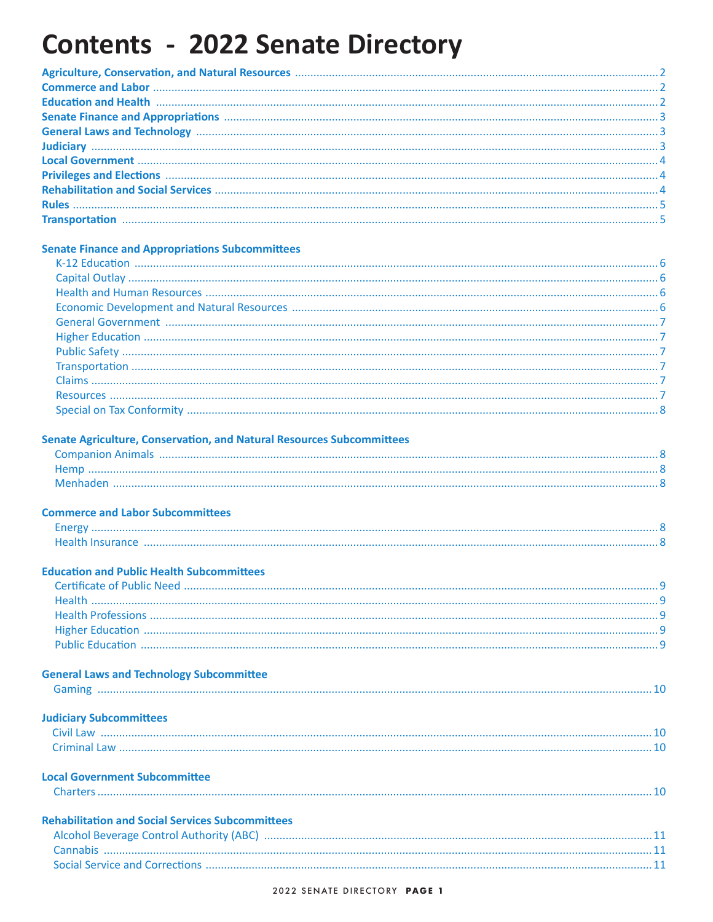# **Contents - 2022 Senate Directory**

### **Senate Finance and Appropriations Subcommittees**

#### Senate Agriculture, Conservation, and Natural Resources Subcommittees

| Menhaden |  |
|----------|--|
|          |  |

### **Commerce and Labor Subcommittees**

| <b>Health Insurance</b> |  |
|-------------------------|--|

### **Education and Public Health Subcommittees**

### **General Laws and Technology Subcommittee**

### **Judiciary Subcommittees**

| Civil Law |  |
|-----------|--|
|           |  |
|           |  |

#### **Local Government Subcommittee**

| <b>Rehabilitation and Social Services Subcommittees</b> |  |
|---------------------------------------------------------|--|
| Alcohol Beverage Control Authority (ABC)                |  |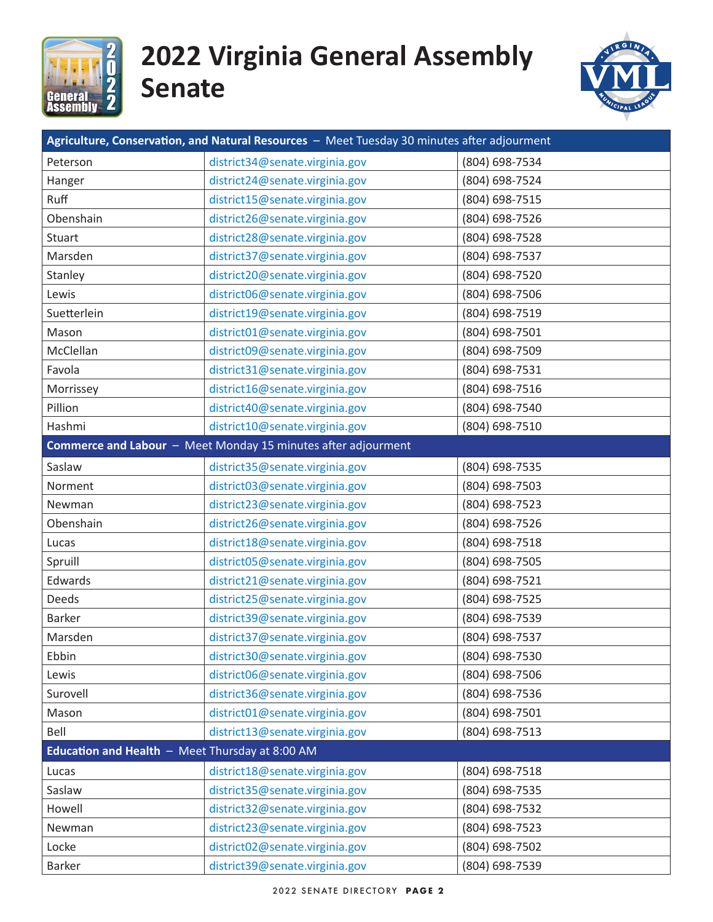<span id="page-1-0"></span>

# **2022 Virginia General Assembly Senate**



| Agriculture, Conservation, and Natural Resources - Meet Tuesday 30 minutes after adjourment |                                                               |                |  |
|---------------------------------------------------------------------------------------------|---------------------------------------------------------------|----------------|--|
| Peterson                                                                                    | district34@senate.virginia.gov                                | (804) 698-7534 |  |
| Hanger                                                                                      | district24@senate.virginia.gov                                | (804) 698-7524 |  |
| Ruff                                                                                        | district15@senate.virginia.gov                                | (804) 698-7515 |  |
| Obenshain                                                                                   | district26@senate.virginia.gov                                | (804) 698-7526 |  |
| <b>Stuart</b>                                                                               | district28@senate.virginia.gov                                | (804) 698-7528 |  |
| Marsden                                                                                     | district37@senate.virginia.gov                                | (804) 698-7537 |  |
| Stanley                                                                                     | district20@senate.virginia.gov                                | (804) 698-7520 |  |
| Lewis                                                                                       | district06@senate.virginia.gov                                | (804) 698-7506 |  |
| Suetterlein                                                                                 | district19@senate.virginia.gov                                | (804) 698-7519 |  |
| Mason                                                                                       | district01@senate.virginia.gov                                | (804) 698-7501 |  |
| McClellan                                                                                   | district09@senate.virginia.gov                                | (804) 698-7509 |  |
| Favola                                                                                      | district31@senate.virginia.gov                                | (804) 698-7531 |  |
| Morrissey                                                                                   | district16@senate.virginia.gov                                | (804) 698-7516 |  |
| Pillion                                                                                     | district40@senate.virginia.gov                                | (804) 698-7540 |  |
| Hashmi                                                                                      | district10@senate.virginia.gov                                | (804) 698-7510 |  |
|                                                                                             | Commerce and Labour - Meet Monday 15 minutes after adjourment |                |  |
| Saslaw                                                                                      | district35@senate.virginia.gov                                | (804) 698-7535 |  |
| Norment                                                                                     | district03@senate.virginia.gov                                | (804) 698-7503 |  |
| Newman                                                                                      | district23@senate.virginia.gov                                | (804) 698-7523 |  |
| Obenshain                                                                                   | district26@senate.virginia.gov                                | (804) 698-7526 |  |
| Lucas                                                                                       | district18@senate.virginia.gov                                | (804) 698-7518 |  |
| Spruill                                                                                     | district05@senate.virginia.gov                                | (804) 698-7505 |  |
| Edwards                                                                                     | district21@senate.virginia.gov                                | (804) 698-7521 |  |
| Deeds                                                                                       | district25@senate.virginia.gov                                | (804) 698-7525 |  |
| Barker                                                                                      | district39@senate.virginia.gov                                | (804) 698-7539 |  |
| Marsden                                                                                     | district37@senate.virginia.gov                                | (804) 698-7537 |  |
| Ebbin                                                                                       | district30@senate.virginia.gov                                | (804) 698-7530 |  |
| Lewis                                                                                       | district06@senate.virginia.gov                                | (804) 698-7506 |  |
| Surovell                                                                                    | district36@senate.virginia.gov                                | (804) 698-7536 |  |
| Mason                                                                                       | district01@senate.virginia.gov                                | (804) 698-7501 |  |
| Bell                                                                                        | district13@senate.virginia.gov                                | (804) 698-7513 |  |
| Education and Health $-$ Meet Thursday at 8:00 AM                                           |                                                               |                |  |
| Lucas                                                                                       | district18@senate.virginia.gov                                | (804) 698-7518 |  |
| Saslaw                                                                                      | district35@senate.virginia.gov                                | (804) 698-7535 |  |
| Howell                                                                                      | district32@senate.virginia.gov                                | (804) 698-7532 |  |
| Newman                                                                                      | district23@senate.virginia.gov                                | (804) 698-7523 |  |
| Locke                                                                                       | district02@senate.virginia.gov                                | (804) 698-7502 |  |
| Barker                                                                                      | district39@senate.virginia.gov                                | (804) 698-7539 |  |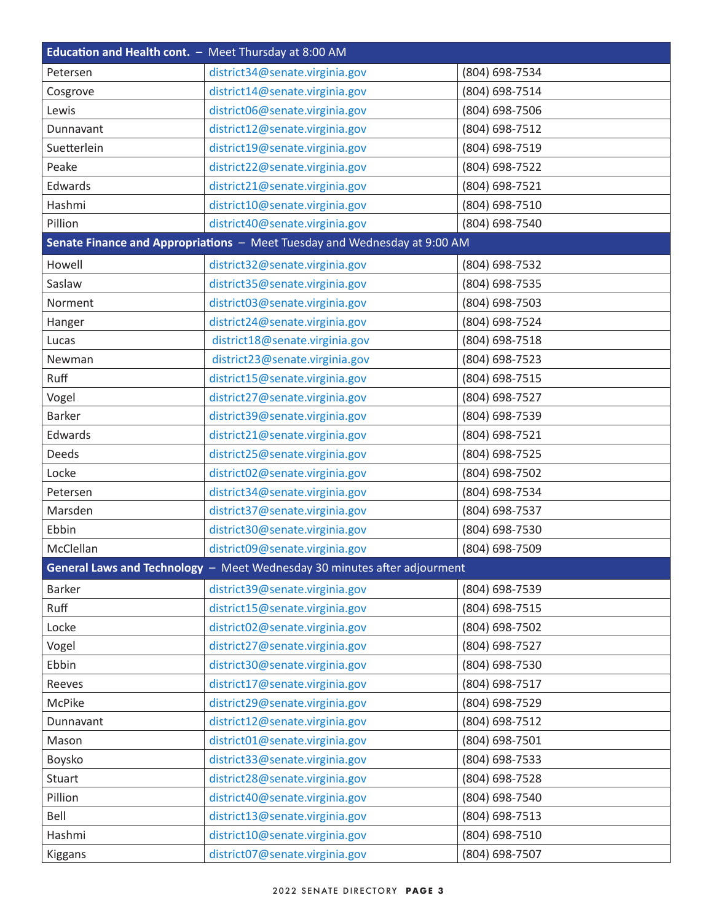<span id="page-2-0"></span>

| Education and Health cont. - Meet Thursday at 8:00 AM |                                                                           |                |
|-------------------------------------------------------|---------------------------------------------------------------------------|----------------|
| Petersen                                              | district34@senate.virginia.gov                                            | (804) 698-7534 |
| Cosgrove                                              | district14@senate.virginia.gov                                            | (804) 698-7514 |
| Lewis                                                 | district06@senate.virginia.gov                                            | (804) 698-7506 |
| Dunnavant                                             | district12@senate.virginia.gov                                            | (804) 698-7512 |
| Suetterlein                                           | district19@senate.virginia.gov                                            | (804) 698-7519 |
| Peake                                                 | district22@senate.virginia.gov                                            | (804) 698-7522 |
| Edwards                                               | district21@senate.virginia.gov                                            | (804) 698-7521 |
| Hashmi                                                | district10@senate.virginia.gov                                            | (804) 698-7510 |
| Pillion                                               | district40@senate.virginia.gov                                            | (804) 698-7540 |
|                                                       | Senate Finance and Appropriations - Meet Tuesday and Wednesday at 9:00 AM |                |
| Howell                                                | district32@senate.virginia.gov                                            | (804) 698-7532 |
| Saslaw                                                | district35@senate.virginia.gov                                            | (804) 698-7535 |
| Norment                                               | district03@senate.virginia.gov                                            | (804) 698-7503 |
| Hanger                                                | district24@senate.virginia.gov                                            | (804) 698-7524 |
| Lucas                                                 | district18@senate.virginia.gov                                            | (804) 698-7518 |
| Newman                                                | district23@senate.virginia.gov                                            | (804) 698-7523 |
| Ruff                                                  | district15@senate.virginia.gov                                            | (804) 698-7515 |
| Vogel                                                 | district27@senate.virginia.gov                                            | (804) 698-7527 |
| <b>Barker</b>                                         | district39@senate.virginia.gov                                            | (804) 698-7539 |
| Edwards                                               | district21@senate.virginia.gov                                            | (804) 698-7521 |
| Deeds                                                 | district25@senate.virginia.gov                                            | (804) 698-7525 |
| Locke                                                 | district02@senate.virginia.gov                                            | (804) 698-7502 |
| Petersen                                              | district34@senate.virginia.gov                                            | (804) 698-7534 |
| Marsden                                               | district37@senate.virginia.gov                                            | (804) 698-7537 |
| Ebbin                                                 | district30@senate.virginia.gov                                            | (804) 698-7530 |
| McClellan                                             | district09@senate.virginia.gov                                            | (804) 698-7509 |
|                                                       | General Laws and Technology - Meet Wednesday 30 minutes after adjourment  |                |
| Barker                                                | district39@senate.virginia.gov                                            | (804) 698-7539 |
| Ruff                                                  | district15@senate.virginia.gov                                            | (804) 698-7515 |
| Locke                                                 | district02@senate.virginia.gov                                            | (804) 698-7502 |
| Vogel                                                 | district27@senate.virginia.gov                                            | (804) 698-7527 |
| Ebbin                                                 | district30@senate.virginia.gov                                            | (804) 698-7530 |
| Reeves                                                | district17@senate.virginia.gov                                            | (804) 698-7517 |
| McPike                                                | district29@senate.virginia.gov                                            | (804) 698-7529 |
| Dunnavant                                             | district12@senate.virginia.gov                                            | (804) 698-7512 |
| Mason                                                 | district01@senate.virginia.gov                                            | (804) 698-7501 |
| Boysko                                                | district33@senate.virginia.gov                                            | (804) 698-7533 |
| Stuart                                                | district28@senate.virginia.gov                                            | (804) 698-7528 |
| Pillion                                               | district40@senate.virginia.gov                                            | (804) 698-7540 |
| Bell                                                  | district13@senate.virginia.gov                                            | (804) 698-7513 |
| Hashmi                                                | district10@senate.virginia.gov                                            | (804) 698-7510 |
| Kiggans                                               | district07@senate.virginia.gov                                            | (804) 698-7507 |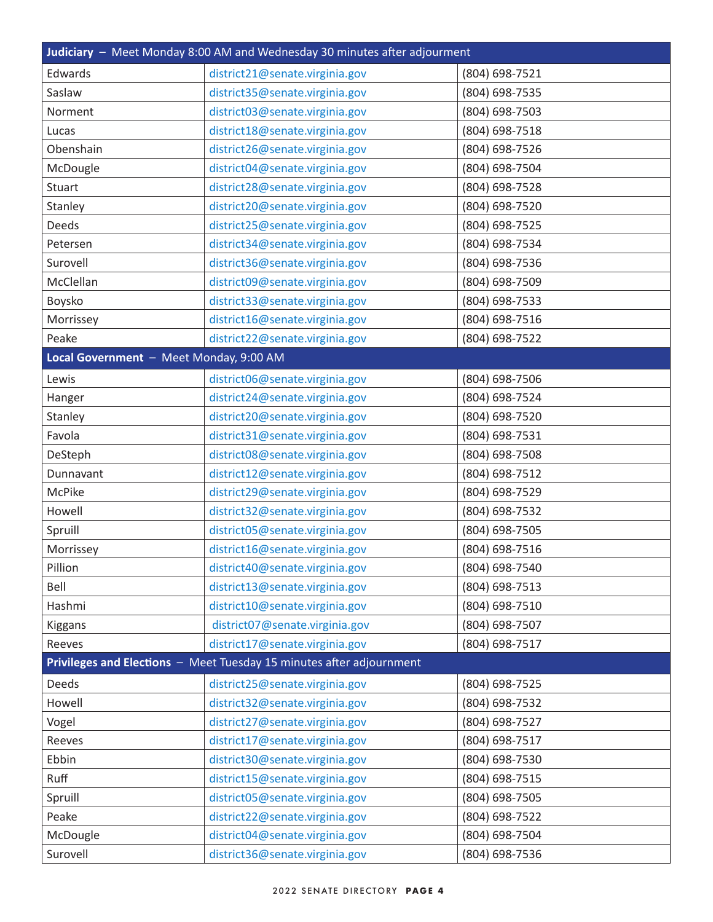<span id="page-3-0"></span>

| Judiciary - Meet Monday 8:00 AM and Wednesday 30 minutes after adjourment |                                                                      |                |
|---------------------------------------------------------------------------|----------------------------------------------------------------------|----------------|
| Edwards                                                                   | district21@senate.virginia.gov                                       | (804) 698-7521 |
| Saslaw                                                                    | district35@senate.virginia.gov                                       | (804) 698-7535 |
| Norment                                                                   | district03@senate.virginia.gov                                       | (804) 698-7503 |
| Lucas                                                                     | district18@senate.virginia.gov                                       | (804) 698-7518 |
| Obenshain                                                                 | district26@senate.virginia.gov                                       | (804) 698-7526 |
| McDougle                                                                  | district04@senate.virginia.gov                                       | (804) 698-7504 |
| Stuart                                                                    | district28@senate.virginia.gov                                       | (804) 698-7528 |
| Stanley                                                                   | district20@senate.virginia.gov                                       | (804) 698-7520 |
| Deeds                                                                     | district25@senate.virginia.gov                                       | (804) 698-7525 |
| Petersen                                                                  | district34@senate.virginia.gov                                       | (804) 698-7534 |
| Surovell                                                                  | district36@senate.virginia.gov                                       | (804) 698-7536 |
| McClellan                                                                 | district09@senate.virginia.gov                                       | (804) 698-7509 |
| Boysko                                                                    | district33@senate.virginia.gov                                       | (804) 698-7533 |
| Morrissey                                                                 | district16@senate.virginia.gov                                       | (804) 698-7516 |
| Peake                                                                     | district22@senate.virginia.gov                                       | (804) 698-7522 |
| Local Government - Meet Monday, 9:00 AM                                   |                                                                      |                |
| Lewis                                                                     | district06@senate.virginia.gov                                       | (804) 698-7506 |
| Hanger                                                                    | district24@senate.virginia.gov                                       | (804) 698-7524 |
| Stanley                                                                   | district20@senate.virginia.gov                                       | (804) 698-7520 |
| Favola                                                                    | district31@senate.virginia.gov                                       | (804) 698-7531 |
| DeSteph                                                                   | district08@senate.virginia.gov                                       | (804) 698-7508 |
| Dunnavant                                                                 | district12@senate.virginia.gov                                       | (804) 698-7512 |
| <b>McPike</b>                                                             | district29@senate.virginia.gov                                       | (804) 698-7529 |
| Howell                                                                    | district32@senate.virginia.gov                                       | (804) 698-7532 |
| Spruill                                                                   | district05@senate.virginia.gov                                       | (804) 698-7505 |
| Morrissey                                                                 | district16@senate.virginia.gov                                       | (804) 698-7516 |
| Pillion                                                                   | district40@senate.virginia.gov                                       | (804) 698-7540 |
| Bell                                                                      | district13@senate.virginia.gov                                       | (804) 698-7513 |
| Hashmi                                                                    | district10@senate.virginia.gov                                       | (804) 698-7510 |
| Kiggans                                                                   | district07@senate.virginia.gov                                       | (804) 698-7507 |
| Reeves                                                                    | district17@senate.virginia.gov                                       | (804) 698-7517 |
|                                                                           | Privileges and Elections - Meet Tuesday 15 minutes after adjournment |                |
| Deeds                                                                     | district25@senate.virginia.gov                                       | (804) 698-7525 |
| Howell                                                                    | district32@senate.virginia.gov                                       | (804) 698-7532 |
| Vogel                                                                     | district27@senate.virginia.gov                                       | (804) 698-7527 |
| Reeves                                                                    | district17@senate.virginia.gov                                       | (804) 698-7517 |
| Ebbin                                                                     | district30@senate.virginia.gov                                       | (804) 698-7530 |
| Ruff                                                                      | district15@senate.virginia.gov                                       | (804) 698-7515 |
| Spruill                                                                   | district05@senate.virginia.gov                                       | (804) 698-7505 |
| Peake                                                                     | district22@senate.virginia.gov                                       | (804) 698-7522 |
| McDougle                                                                  | district04@senate.virginia.gov                                       | (804) 698-7504 |
| Surovell                                                                  | district36@senate.virginia.gov                                       | (804) 698-7536 |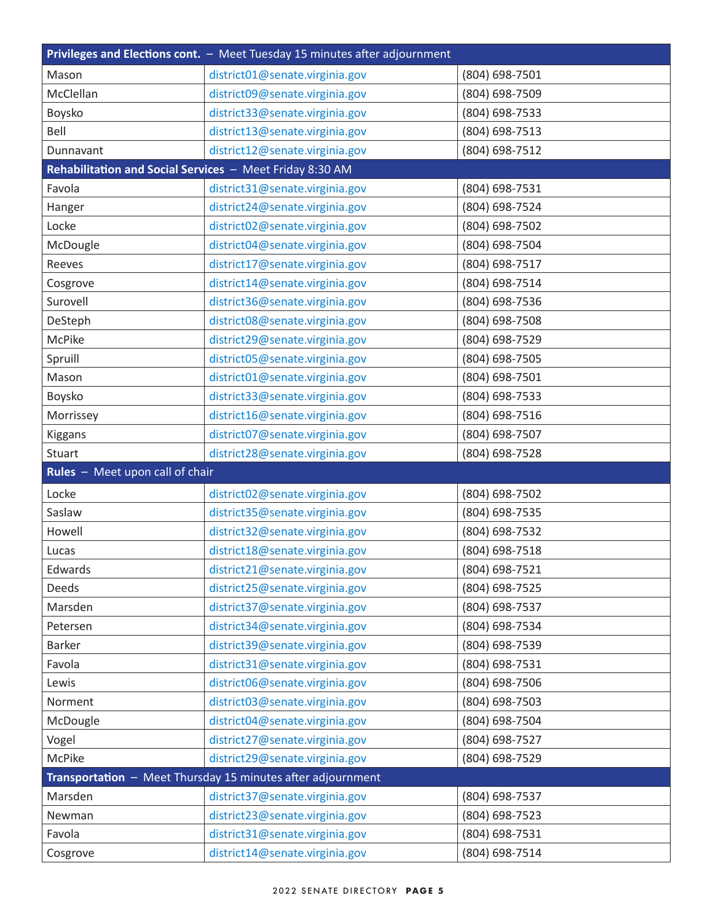<span id="page-4-0"></span>

| Privileges and Elections cont. - Meet Tuesday 15 minutes after adjournment |                                                             |                |
|----------------------------------------------------------------------------|-------------------------------------------------------------|----------------|
| Mason                                                                      | district01@senate.virginia.gov                              | (804) 698-7501 |
| McClellan                                                                  | district09@senate.virginia.gov                              | (804) 698-7509 |
| Boysko                                                                     | district33@senate.virginia.gov                              | (804) 698-7533 |
| Bell                                                                       | district13@senate.virginia.gov                              | (804) 698-7513 |
| Dunnavant                                                                  | district12@senate.virginia.gov                              | (804) 698-7512 |
| Rehabilitation and Social Services - Meet Friday 8:30 AM                   |                                                             |                |
| Favola                                                                     | district31@senate.virginia.gov                              | (804) 698-7531 |
| Hanger                                                                     | district24@senate.virginia.gov                              | (804) 698-7524 |
| Locke                                                                      | district02@senate.virginia.gov                              | (804) 698-7502 |
| McDougle                                                                   | district04@senate.virginia.gov                              | (804) 698-7504 |
| Reeves                                                                     | district17@senate.virginia.gov                              | (804) 698-7517 |
| Cosgrove                                                                   | district14@senate.virginia.gov                              | (804) 698-7514 |
| Surovell                                                                   | district36@senate.virginia.gov                              | (804) 698-7536 |
| DeSteph                                                                    | district08@senate.virginia.gov                              | (804) 698-7508 |
| McPike                                                                     | district29@senate.virginia.gov                              | (804) 698-7529 |
| Spruill                                                                    | district05@senate.virginia.gov                              | (804) 698-7505 |
| Mason                                                                      | district01@senate.virginia.gov                              | (804) 698-7501 |
| Boysko                                                                     | district33@senate.virginia.gov                              | (804) 698-7533 |
| Morrissey                                                                  | district16@senate.virginia.gov                              | (804) 698-7516 |
| Kiggans                                                                    | district07@senate.virginia.gov                              | (804) 698-7507 |
| Stuart                                                                     | district28@senate.virginia.gov                              | (804) 698-7528 |
| Rules - Meet upon call of chair                                            |                                                             |                |
| Locke                                                                      | district02@senate.virginia.gov                              | (804) 698-7502 |
| Saslaw                                                                     | district35@senate.virginia.gov                              | (804) 698-7535 |
| Howell                                                                     | district32@senate.virginia.gov                              | (804) 698-7532 |
| Lucas                                                                      | district18@senate.virginia.gov                              | (804) 698-7518 |
| Edwards                                                                    | district21@senate.virginia.gov                              | (804) 698-7521 |
| Deeds                                                                      | district25@senate.virginia.gov                              | (804) 698-7525 |
| Marsden                                                                    | district37@senate.virginia.gov                              | (804) 698-7537 |
| Petersen                                                                   | district34@senate.virginia.gov                              | (804) 698-7534 |
| Barker                                                                     | district39@senate.virginia.gov                              | (804) 698-7539 |
| Favola                                                                     | district31@senate.virginia.gov                              | (804) 698-7531 |
| Lewis                                                                      | district06@senate.virginia.gov                              | (804) 698-7506 |
| Norment                                                                    | district03@senate.virginia.gov                              | (804) 698-7503 |
| McDougle                                                                   | district04@senate.virginia.gov                              | (804) 698-7504 |
| Vogel                                                                      | district27@senate.virginia.gov                              | (804) 698-7527 |
| McPike                                                                     | district29@senate.virginia.gov                              | (804) 698-7529 |
|                                                                            | Transportation - Meet Thursday 15 minutes after adjournment |                |
| Marsden                                                                    | district37@senate.virginia.gov                              | (804) 698-7537 |
| Newman                                                                     | district23@senate.virginia.gov                              | (804) 698-7523 |
| Favola                                                                     | district31@senate.virginia.gov                              | (804) 698-7531 |
| Cosgrove                                                                   | district14@senate.virginia.gov                              | (804) 698-7514 |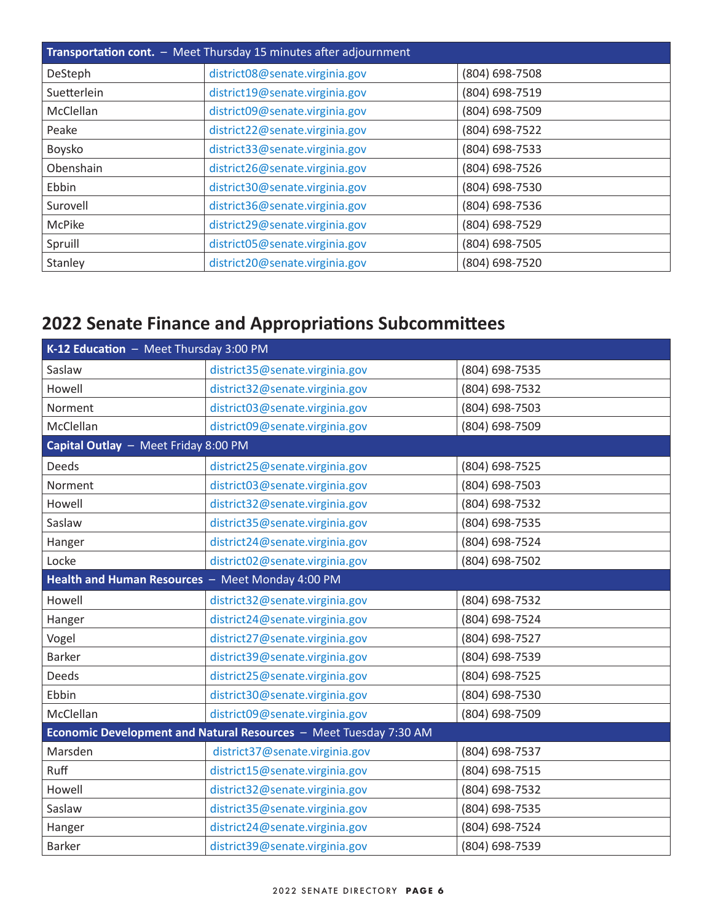<span id="page-5-0"></span>

| <b>Transportation cont.</b> - Meet Thursday 15 minutes after adjournment |                                |                |
|--------------------------------------------------------------------------|--------------------------------|----------------|
| DeSteph                                                                  | district08@senate.virginia.gov | (804) 698-7508 |
| Suetterlein                                                              | district19@senate.virginia.gov | (804) 698-7519 |
| <b>McClellan</b>                                                         | district09@senate.virginia.gov | (804) 698-7509 |
| Peake                                                                    | district22@senate.virginia.gov | (804) 698-7522 |
| Boysko                                                                   | district33@senate.virginia.gov | (804) 698-7533 |
| Obenshain                                                                | district26@senate.virginia.gov | (804) 698-7526 |
| Ebbin                                                                    | district30@senate.virginia.gov | (804) 698-7530 |
| Surovell                                                                 | district36@senate.virginia.gov | (804) 698-7536 |
| McPike                                                                   | district29@senate.virginia.gov | (804) 698-7529 |
| Spruill                                                                  | district05@senate.virginia.gov | (804) 698-7505 |
| Stanley                                                                  | district20@senate.virginia.gov | (804) 698-7520 |

## **2022 Senate Finance and Appropriations Subcommittees**

| K-12 Education - Meet Thursday 3:00 PM                            |                                |                |
|-------------------------------------------------------------------|--------------------------------|----------------|
| Saslaw                                                            | district35@senate.virginia.gov | (804) 698-7535 |
| Howell                                                            | district32@senate.virginia.gov | (804) 698-7532 |
| Norment                                                           | district03@senate.virginia.gov | (804) 698-7503 |
| McClellan                                                         | district09@senate.virginia.gov | (804) 698-7509 |
| Capital Outlay - Meet Friday 8:00 PM                              |                                |                |
| <b>Deeds</b>                                                      | district25@senate.virginia.gov | (804) 698-7525 |
| Norment                                                           | district03@senate.virginia.gov | (804) 698-7503 |
| Howell                                                            | district32@senate.virginia.gov | (804) 698-7532 |
| Saslaw                                                            | district35@senate.virginia.gov | (804) 698-7535 |
| Hanger                                                            | district24@senate.virginia.gov | (804) 698-7524 |
| Locke                                                             | district02@senate.virginia.gov | (804) 698-7502 |
| Health and Human Resources - Meet Monday 4:00 PM                  |                                |                |
| Howell                                                            | district32@senate.virginia.gov | (804) 698-7532 |
| Hanger                                                            | district24@senate.virginia.gov | (804) 698-7524 |
| Vogel                                                             | district27@senate.virginia.gov | (804) 698-7527 |
| <b>Barker</b>                                                     | district39@senate.virginia.gov | (804) 698-7539 |
| Deeds                                                             | district25@senate.virginia.gov | (804) 698-7525 |
| Ebbin                                                             | district30@senate.virginia.gov | (804) 698-7530 |
| McClellan                                                         | district09@senate.virginia.gov | (804) 698-7509 |
| Economic Development and Natural Resources - Meet Tuesday 7:30 AM |                                |                |
| Marsden                                                           | district37@senate.virginia.gov | (804) 698-7537 |
| Ruff                                                              | district15@senate.virginia.gov | (804) 698-7515 |
| Howell                                                            | district32@senate.virginia.gov | (804) 698-7532 |
| Saslaw                                                            | district35@senate.virginia.gov | (804) 698-7535 |
| Hanger                                                            | district24@senate.virginia.gov | (804) 698-7524 |
| <b>Barker</b>                                                     | district39@senate.virginia.gov | (804) 698-7539 |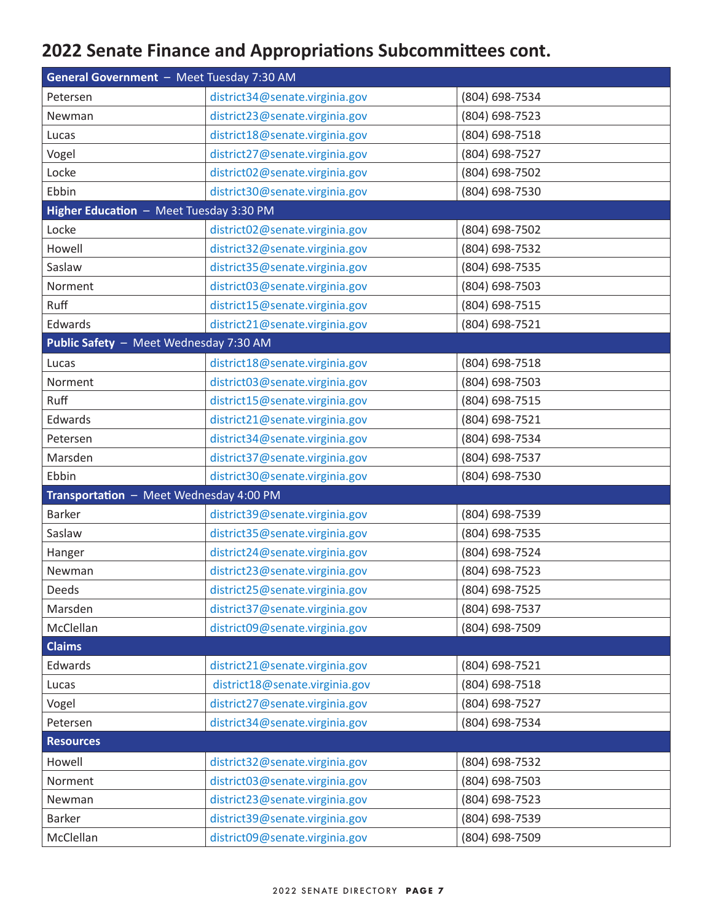## <span id="page-6-0"></span>**2022 Senate Finance and Appropriations Subcommittees cont.**

| General Government - Meet Tuesday 7:30 AM |                                |                |
|-------------------------------------------|--------------------------------|----------------|
| Petersen                                  | district34@senate.virginia.gov | (804) 698-7534 |
| Newman                                    | district23@senate.virginia.gov | (804) 698-7523 |
| Lucas                                     | district18@senate.virginia.gov | (804) 698-7518 |
| Vogel                                     | district27@senate.virginia.gov | (804) 698-7527 |
| Locke                                     | district02@senate.virginia.gov | (804) 698-7502 |
| Ebbin                                     | district30@senate.virginia.gov | (804) 698-7530 |
| Higher Education - Meet Tuesday 3:30 PM   |                                |                |
| Locke                                     | district02@senate.virginia.gov | (804) 698-7502 |
| Howell                                    | district32@senate.virginia.gov | (804) 698-7532 |
| Saslaw                                    | district35@senate.virginia.gov | (804) 698-7535 |
| Norment                                   | district03@senate.virginia.gov | (804) 698-7503 |
| Ruff                                      | district15@senate.virginia.gov | (804) 698-7515 |
| Edwards                                   | district21@senate.virginia.gov | (804) 698-7521 |
| Public Safety - Meet Wednesday 7:30 AM    |                                |                |
| Lucas                                     | district18@senate.virginia.gov | (804) 698-7518 |
| Norment                                   | district03@senate.virginia.gov | (804) 698-7503 |
| Ruff                                      | district15@senate.virginia.gov | (804) 698-7515 |
| Edwards                                   | district21@senate.virginia.gov | (804) 698-7521 |
| Petersen                                  | district34@senate.virginia.gov | (804) 698-7534 |
| Marsden                                   | district37@senate.virginia.gov | (804) 698-7537 |
| Ebbin                                     | district30@senate.virginia.gov | (804) 698-7530 |
| Transportation - Meet Wednesday 4:00 PM   |                                |                |
| <b>Barker</b>                             | district39@senate.virginia.gov | (804) 698-7539 |
| Saslaw                                    | district35@senate.virginia.gov | (804) 698-7535 |
| Hanger                                    | district24@senate.virginia.gov | (804) 698-7524 |
| Newman                                    | district23@senate.virginia.gov | (804) 698-7523 |
| <b>Deeds</b>                              | district25@senate.virginia.gov | (804) 698-7525 |
| Marsden                                   | district37@senate.virginia.gov | (804) 698-7537 |
| McClellan                                 | district09@senate.virginia.gov | (804) 698-7509 |
| <b>Claims</b>                             |                                |                |
| Edwards                                   | district21@senate.virginia.gov | (804) 698-7521 |
| Lucas                                     | district18@senate.virginia.gov | (804) 698-7518 |
| Vogel                                     | district27@senate.virginia.gov | (804) 698-7527 |
| Petersen                                  | district34@senate.virginia.gov | (804) 698-7534 |
| <b>Resources</b>                          |                                |                |
| Howell                                    | district32@senate.virginia.gov | (804) 698-7532 |
| Norment                                   | district03@senate.virginia.gov | (804) 698-7503 |
| Newman                                    | district23@senate.virginia.gov | (804) 698-7523 |
| Barker                                    | district39@senate.virginia.gov | (804) 698-7539 |
| McClellan                                 | district09@senate.virginia.gov | (804) 698-7509 |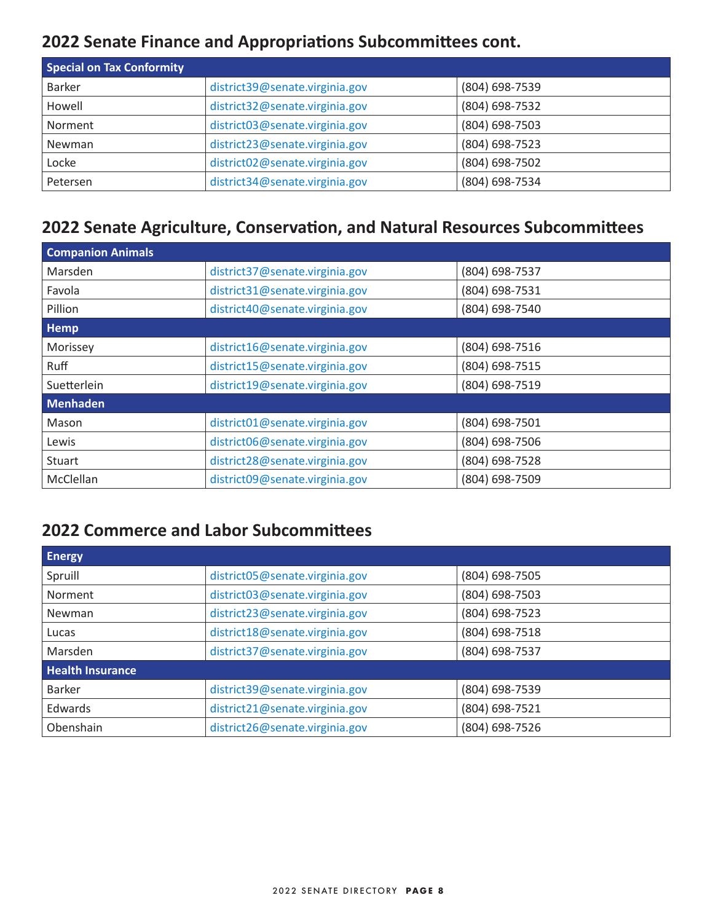## <span id="page-7-0"></span>**2022 Senate Finance and Appropriations Subcommittees cont.**

| <b>Special on Tax Conformity</b> |                                |                |
|----------------------------------|--------------------------------|----------------|
| <b>Barker</b>                    | district39@senate.virginia.gov | (804) 698-7539 |
| Howell                           | district32@senate.virginia.gov | (804) 698-7532 |
| Norment                          | district03@senate.virginia.gov | (804) 698-7503 |
| Newman                           | district23@senate.virginia.gov | (804) 698-7523 |
| Locke                            | district02@senate.virginia.gov | (804) 698-7502 |
| Petersen                         | district34@senate.virginia.gov | (804) 698-7534 |

## **2022 Senate Agriculture, Conservation, and Natural Resources Subcommittees**

| <b>Companion Animals</b> |                                |                |
|--------------------------|--------------------------------|----------------|
| Marsden                  | district37@senate.virginia.gov | (804) 698-7537 |
| Favola                   | district31@senate.virginia.gov | (804) 698-7531 |
| Pillion                  | district40@senate.virginia.gov | (804) 698-7540 |
| Hemp                     |                                |                |
| Morissey                 | district16@senate.virginia.gov | (804) 698-7516 |
| Ruff                     | district15@senate.virginia.gov | (804) 698-7515 |
| Suetterlein              | district19@senate.virginia.gov | (804) 698-7519 |
| <b>Menhaden</b>          |                                |                |
| Mason                    | district01@senate.virginia.gov | (804) 698-7501 |
| Lewis                    | district06@senate.virginia.gov | (804) 698-7506 |
| <b>Stuart</b>            | district28@senate.virginia.gov | (804) 698-7528 |
| McClellan                | district09@senate.virginia.gov | (804) 698-7509 |

### **2022 Commerce and Labor Subcommittees**

| <b>Energy</b>           |                                |                |
|-------------------------|--------------------------------|----------------|
| Spruill                 | district05@senate.virginia.gov | (804) 698-7505 |
| Norment                 | district03@senate.virginia.gov | (804) 698-7503 |
| Newman                  | district23@senate.virginia.gov | (804) 698-7523 |
| Lucas                   | district18@senate.virginia.gov | (804) 698-7518 |
| Marsden                 | district37@senate.virginia.gov | (804) 698-7537 |
| <b>Health Insurance</b> |                                |                |
| <b>Barker</b>           | district39@senate.virginia.gov | (804) 698-7539 |
| Edwards                 | district21@senate.virginia.gov | (804) 698-7521 |
| Obenshain               | district26@senate.virginia.gov | (804) 698-7526 |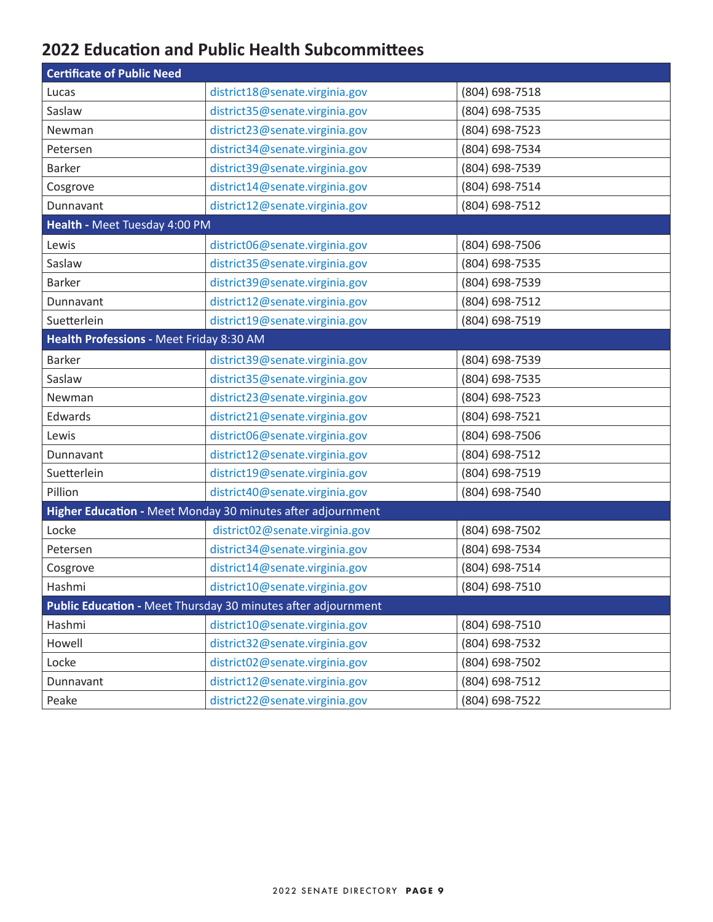## <span id="page-8-0"></span>**2022 Education and Public Health Subcommittees**

| <b>Certificate of Public Need</b>        |                                                               |                |
|------------------------------------------|---------------------------------------------------------------|----------------|
| Lucas                                    | district18@senate.virginia.gov                                | (804) 698-7518 |
| Saslaw                                   | district35@senate.virginia.gov                                | (804) 698-7535 |
| Newman                                   | district23@senate.virginia.gov                                | (804) 698-7523 |
| Petersen                                 | district34@senate.virginia.gov                                | (804) 698-7534 |
| <b>Barker</b>                            | district39@senate.virginia.gov                                | (804) 698-7539 |
| Cosgrove                                 | district14@senate.virginia.gov                                | (804) 698-7514 |
| Dunnavant                                | district12@senate.virginia.gov                                | (804) 698-7512 |
| Health - Meet Tuesday 4:00 PM            |                                                               |                |
| Lewis                                    | district06@senate.virginia.gov                                | (804) 698-7506 |
| Saslaw                                   | district35@senate.virginia.gov                                | (804) 698-7535 |
| <b>Barker</b>                            | district39@senate.virginia.gov                                | (804) 698-7539 |
| Dunnavant                                | district12@senate.virginia.gov                                | (804) 698-7512 |
| Suetterlein                              | district19@senate.virginia.gov                                | (804) 698-7519 |
| Health Professions - Meet Friday 8:30 AM |                                                               |                |
| <b>Barker</b>                            | district39@senate.virginia.gov                                | (804) 698-7539 |
| Saslaw                                   | district35@senate.virginia.gov                                | (804) 698-7535 |
| Newman                                   | district23@senate.virginia.gov                                | (804) 698-7523 |
| Edwards                                  | district21@senate.virginia.gov                                | (804) 698-7521 |
| Lewis                                    | district06@senate.virginia.gov                                | (804) 698-7506 |
| Dunnavant                                | district12@senate.virginia.gov                                | (804) 698-7512 |
| Suetterlein                              | district19@senate.virginia.gov                                | (804) 698-7519 |
| Pillion                                  | district40@senate.virginia.gov                                | (804) 698-7540 |
|                                          | Higher Education - Meet Monday 30 minutes after adjournment   |                |
| Locke                                    | district02@senate.virginia.gov                                | (804) 698-7502 |
| Petersen                                 | district34@senate.virginia.gov                                | (804) 698-7534 |
| Cosgrove                                 | district14@senate.virginia.gov                                | (804) 698-7514 |
| Hashmi                                   | district10@senate.virginia.gov                                | (804) 698-7510 |
|                                          | Public Education - Meet Thursday 30 minutes after adjournment |                |
| Hashmi                                   | district10@senate.virginia.gov                                | (804) 698-7510 |
| Howell                                   | district32@senate.virginia.gov                                | (804) 698-7532 |
| Locke                                    | district02@senate.virginia.gov                                | (804) 698-7502 |
| Dunnavant                                | district12@senate.virginia.gov                                | (804) 698-7512 |
| Peake                                    | district22@senate.virginia.gov                                | (804) 698-7522 |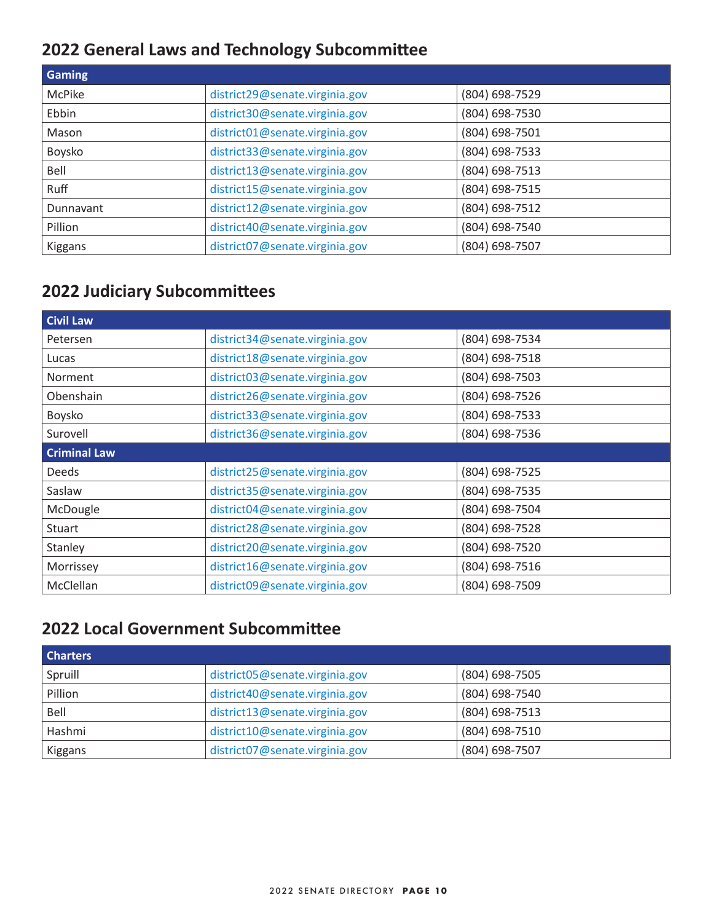## <span id="page-9-0"></span>**2022 General Laws and Technology Subcommittee**

| <b>Gaming</b>    |                                |                |
|------------------|--------------------------------|----------------|
| <b>McPike</b>    | district29@senate.virginia.gov | (804) 698-7529 |
| Ebbin            | district30@senate.virginia.gov | (804) 698-7530 |
| Mason            | district01@senate.virginia.gov | (804) 698-7501 |
| Boysko           | district33@senate.virginia.gov | (804) 698-7533 |
| Bell             | district13@senate.virginia.gov | (804) 698-7513 |
| <b>Ruff</b>      | district15@senate.virginia.gov | (804) 698-7515 |
| <b>Dunnavant</b> | district12@senate.virginia.gov | (804) 698-7512 |
| Pillion          | district40@senate.virginia.gov | (804) 698-7540 |
| Kiggans          | district07@senate.virginia.gov | (804) 698-7507 |

## **2022 Judiciary Subcommittees**

| <b>Civil Law</b>    |                                |                |
|---------------------|--------------------------------|----------------|
| Petersen            | district34@senate.virginia.gov | (804) 698-7534 |
| Lucas               | district18@senate.virginia.gov | (804) 698-7518 |
| <b>Norment</b>      | district03@senate.virginia.gov | (804) 698-7503 |
| Obenshain           | district26@senate.virginia.gov | (804) 698-7526 |
| Boysko              | district33@senate.virginia.gov | (804) 698-7533 |
| Surovell            | district36@senate.virginia.gov | (804) 698-7536 |
| <b>Criminal Law</b> |                                |                |
| <b>Deeds</b>        | district25@senate.virginia.gov | (804) 698-7525 |
| Saslaw              | district35@senate.virginia.gov | (804) 698-7535 |
| McDougle            | district04@senate.virginia.gov | (804) 698-7504 |
| <b>Stuart</b>       | district28@senate.virginia.gov | (804) 698-7528 |
| Stanley             | district20@senate.virginia.gov | (804) 698-7520 |
| Morrissey           | district16@senate.virginia.gov | (804) 698-7516 |
| McClellan           | district09@senate.virginia.gov | (804) 698-7509 |

## **2022 Local Government Subcommittee**

| <b>Charters</b> |                                |                |
|-----------------|--------------------------------|----------------|
| Spruill         | district05@senate.virginia.gov | (804) 698-7505 |
| Pillion         | district40@senate.virginia.gov | (804) 698-7540 |
| Bell            | district13@senate.virginia.gov | (804) 698-7513 |
| Hashmi          | district10@senate.virginia.gov | (804) 698-7510 |
| Kiggans         | district07@senate.virginia.gov | (804) 698-7507 |